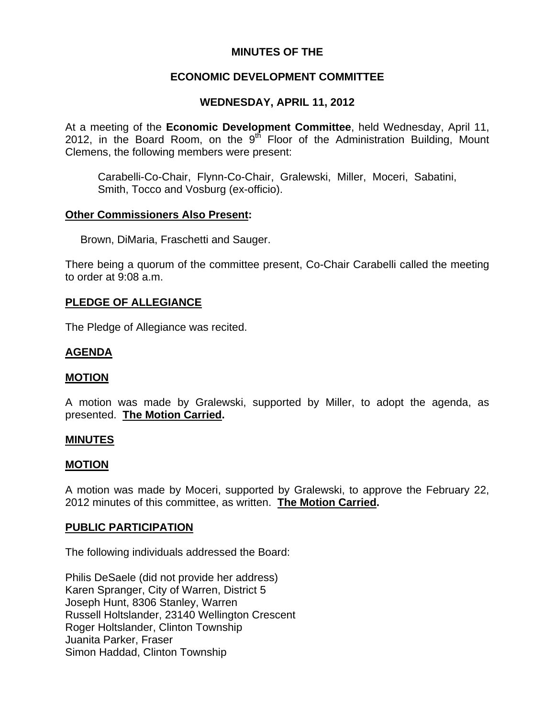## **MINUTES OF THE**

### **ECONOMIC DEVELOPMENT COMMITTEE**

## **WEDNESDAY, APRIL 11, 2012**

At a meeting of the **Economic Development Committee**, held Wednesday, April 11, 2012, in the Board Room, on the  $9<sup>th</sup>$  Floor of the Administration Building, Mount Clemens, the following members were present:

Carabelli-Co-Chair, Flynn-Co-Chair, Gralewski, Miller, Moceri, Sabatini, Smith, Tocco and Vosburg (ex-officio).

### **Other Commissioners Also Present:**

Brown, DiMaria, Fraschetti and Sauger.

There being a quorum of the committee present, Co-Chair Carabelli called the meeting to order at 9:08 a.m.

### **PLEDGE OF ALLEGIANCE**

The Pledge of Allegiance was recited.

### **AGENDA**

### **MOTION**

A motion was made by Gralewski, supported by Miller, to adopt the agenda, as presented. **The Motion Carried.** 

#### **MINUTES**

#### **MOTION**

A motion was made by Moceri, supported by Gralewski, to approve the February 22, 2012 minutes of this committee, as written. **The Motion Carried.** 

### **PUBLIC PARTICIPATION**

The following individuals addressed the Board:

Philis DeSaele (did not provide her address) Karen Spranger, City of Warren, District 5 Joseph Hunt, 8306 Stanley, Warren Russell Holtslander, 23140 Wellington Crescent Roger Holtslander, Clinton Township Juanita Parker, Fraser Simon Haddad, Clinton Township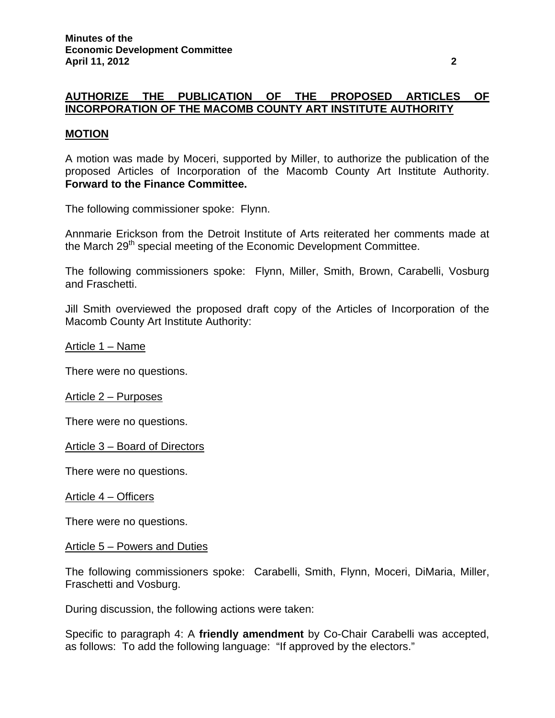# **AUTHORIZE THE PUBLICATION OF THE PROPOSED ARTICLES OF INCORPORATION OF THE MACOMB COUNTY ART INSTITUTE AUTHORITY**

### **MOTION**

A motion was made by Moceri, supported by Miller, to authorize the publication of the proposed Articles of Incorporation of the Macomb County Art Institute Authority. **Forward to the Finance Committee.** 

The following commissioner spoke: Flynn.

Annmarie Erickson from the Detroit Institute of Arts reiterated her comments made at the March 29<sup>th</sup> special meeting of the Economic Development Committee.

The following commissioners spoke: Flynn, Miller, Smith, Brown, Carabelli, Vosburg and Fraschetti.

Jill Smith overviewed the proposed draft copy of the Articles of Incorporation of the Macomb County Art Institute Authority:

Article 1 – Name

There were no questions.

Article 2 – Purposes

There were no questions.

Article 3 – Board of Directors

There were no questions.

Article 4 – Officers

There were no questions.

#### Article 5 – Powers and Duties

The following commissioners spoke: Carabelli, Smith, Flynn, Moceri, DiMaria, Miller, Fraschetti and Vosburg.

During discussion, the following actions were taken:

Specific to paragraph 4: A **friendly amendment** by Co-Chair Carabelli was accepted, as follows: To add the following language: "If approved by the electors."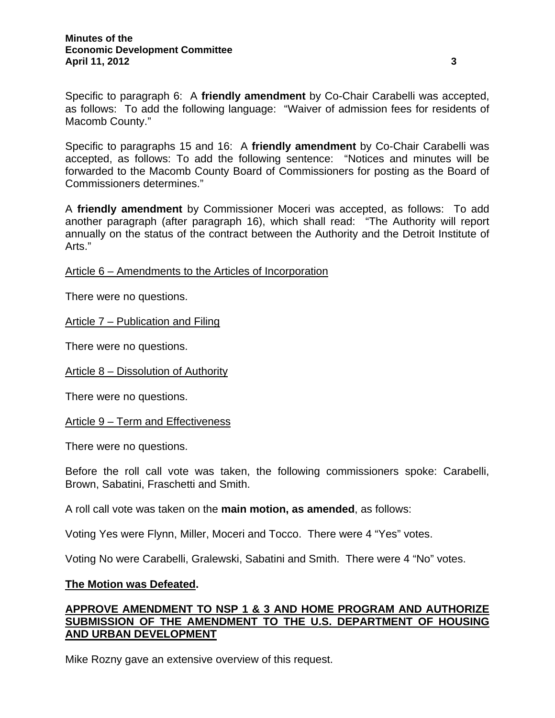Specific to paragraph 6: A **friendly amendment** by Co-Chair Carabelli was accepted, as follows: To add the following language: "Waiver of admission fees for residents of Macomb County."

Specific to paragraphs 15 and 16: A **friendly amendment** by Co-Chair Carabelli was accepted, as follows: To add the following sentence: "Notices and minutes will be forwarded to the Macomb County Board of Commissioners for posting as the Board of Commissioners determines."

A **friendly amendment** by Commissioner Moceri was accepted, as follows: To add another paragraph (after paragraph 16), which shall read: "The Authority will report annually on the status of the contract between the Authority and the Detroit Institute of Arts."

Article 6 – Amendments to the Articles of Incorporation

There were no questions.

### Article 7 – Publication and Filing

There were no questions.

Article 8 – Dissolution of Authority

There were no questions.

Article 9 – Term and Effectiveness

There were no questions.

Before the roll call vote was taken, the following commissioners spoke: Carabelli, Brown, Sabatini, Fraschetti and Smith.

A roll call vote was taken on the **main motion, as amended**, as follows:

Voting Yes were Flynn, Miller, Moceri and Tocco. There were 4 "Yes" votes.

Voting No were Carabelli, Gralewski, Sabatini and Smith. There were 4 "No" votes.

#### **The Motion was Defeated.**

### **APPROVE AMENDMENT TO NSP 1 & 3 AND HOME PROGRAM AND AUTHORIZE SUBMISSION OF THE AMENDMENT TO THE U.S. DEPARTMENT OF HOUSING AND URBAN DEVELOPMENT**

Mike Rozny gave an extensive overview of this request.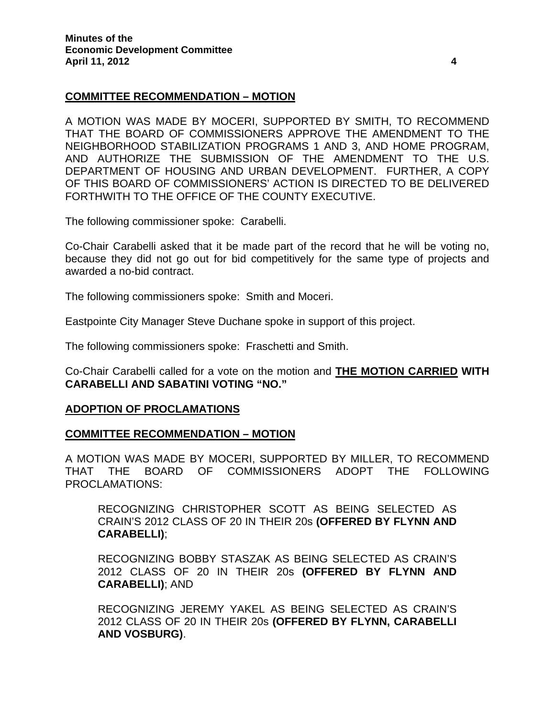### **COMMITTEE RECOMMENDATION – MOTION**

A MOTION WAS MADE BY MOCERI, SUPPORTED BY SMITH, TO RECOMMEND THAT THE BOARD OF COMMISSIONERS APPROVE THE AMENDMENT TO THE NEIGHBORHOOD STABILIZATION PROGRAMS 1 AND 3, AND HOME PROGRAM, AND AUTHORIZE THE SUBMISSION OF THE AMENDMENT TO THE U.S. DEPARTMENT OF HOUSING AND URBAN DEVELOPMENT. FURTHER, A COPY OF THIS BOARD OF COMMISSIONERS' ACTION IS DIRECTED TO BE DELIVERED FORTHWITH TO THE OFFICE OF THE COUNTY EXECUTIVE.

The following commissioner spoke: Carabelli.

Co-Chair Carabelli asked that it be made part of the record that he will be voting no, because they did not go out for bid competitively for the same type of projects and awarded a no-bid contract.

The following commissioners spoke: Smith and Moceri.

Eastpointe City Manager Steve Duchane spoke in support of this project.

The following commissioners spoke: Fraschetti and Smith.

Co-Chair Carabelli called for a vote on the motion and **THE MOTION CARRIED WITH CARABELLI AND SABATINI VOTING "NO."** 

#### **ADOPTION OF PROCLAMATIONS**

#### **COMMITTEE RECOMMENDATION – MOTION**

A MOTION WAS MADE BY MOCERI, SUPPORTED BY MILLER, TO RECOMMEND THAT THE BOARD OF COMMISSIONERS ADOPT THE FOLLOWING PROCLAMATIONS:

RECOGNIZING CHRISTOPHER SCOTT AS BEING SELECTED AS CRAIN'S 2012 CLASS OF 20 IN THEIR 20s **(OFFERED BY FLYNN AND CARABELLI)**;

RECOGNIZING BOBBY STASZAK AS BEING SELECTED AS CRAIN'S 2012 CLASS OF 20 IN THEIR 20s **(OFFERED BY FLYNN AND CARABELLI)**; AND

RECOGNIZING JEREMY YAKEL AS BEING SELECTED AS CRAIN'S 2012 CLASS OF 20 IN THEIR 20s **(OFFERED BY FLYNN, CARABELLI AND VOSBURG)**.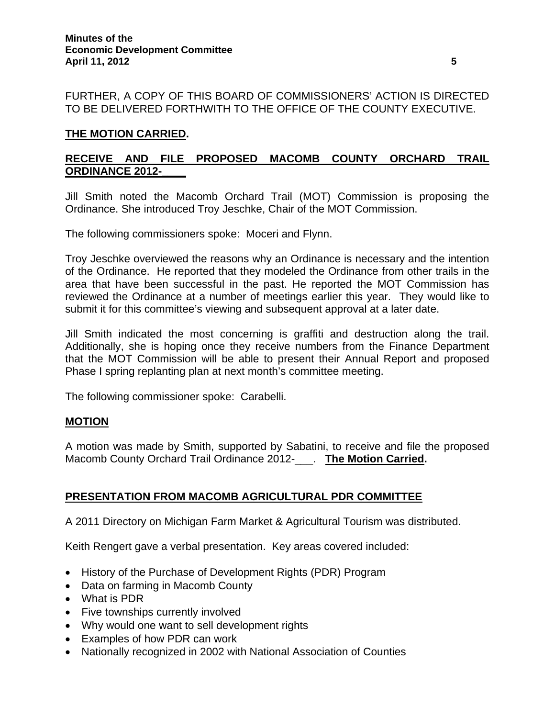FURTHER, A COPY OF THIS BOARD OF COMMISSIONERS' ACTION IS DIRECTED TO BE DELIVERED FORTHWITH TO THE OFFICE OF THE COUNTY EXECUTIVE.

## **THE MOTION CARRIED.**

# **RECEIVE AND FILE PROPOSED MACOMB COUNTY ORCHARD TRAIL ORDINANCE 2012-\_\_\_\_**

Jill Smith noted the Macomb Orchard Trail (MOT) Commission is proposing the Ordinance. She introduced Troy Jeschke, Chair of the MOT Commission.

The following commissioners spoke: Moceri and Flynn.

Troy Jeschke overviewed the reasons why an Ordinance is necessary and the intention of the Ordinance. He reported that they modeled the Ordinance from other trails in the area that have been successful in the past. He reported the MOT Commission has reviewed the Ordinance at a number of meetings earlier this year. They would like to submit it for this committee's viewing and subsequent approval at a later date.

Jill Smith indicated the most concerning is graffiti and destruction along the trail. Additionally, she is hoping once they receive numbers from the Finance Department that the MOT Commission will be able to present their Annual Report and proposed Phase I spring replanting plan at next month's committee meeting.

The following commissioner spoke: Carabelli.

### **MOTION**

A motion was made by Smith, supported by Sabatini, to receive and file the proposed Macomb County Orchard Trail Ordinance 2012-\_\_\_. **The Motion Carried.** 

### **PRESENTATION FROM MACOMB AGRICULTURAL PDR COMMITTEE**

A 2011 Directory on Michigan Farm Market & Agricultural Tourism was distributed.

Keith Rengert gave a verbal presentation. Key areas covered included:

- History of the Purchase of Development Rights (PDR) Program
- Data on farming in Macomb County
- What is PDR
- Five townships currently involved
- Why would one want to sell development rights
- Examples of how PDR can work
- Nationally recognized in 2002 with National Association of Counties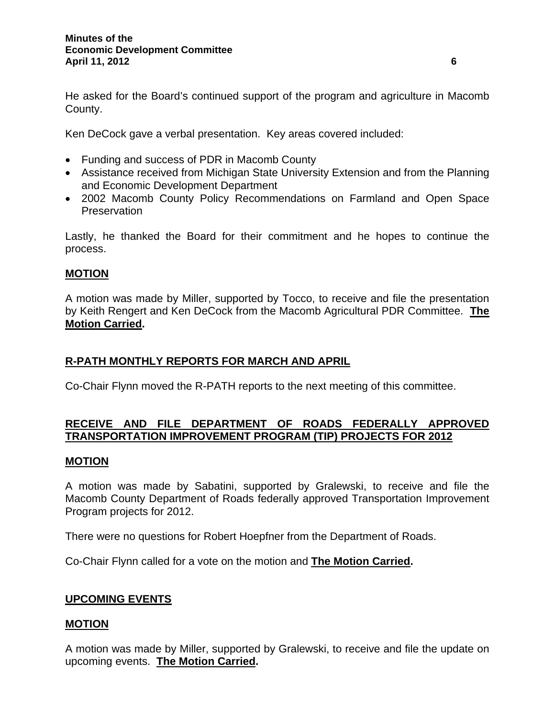He asked for the Board's continued support of the program and agriculture in Macomb County.

Ken DeCock gave a verbal presentation. Key areas covered included:

- Funding and success of PDR in Macomb County
- Assistance received from Michigan State University Extension and from the Planning and Economic Development Department
- 2002 Macomb County Policy Recommendations on Farmland and Open Space **Preservation**

Lastly, he thanked the Board for their commitment and he hopes to continue the process.

## **MOTION**

A motion was made by Miller, supported by Tocco, to receive and file the presentation by Keith Rengert and Ken DeCock from the Macomb Agricultural PDR Committee. **The Motion Carried.** 

### **R-PATH MONTHLY REPORTS FOR MARCH AND APRIL**

Co-Chair Flynn moved the R-PATH reports to the next meeting of this committee.

## **RECEIVE AND FILE DEPARTMENT OF ROADS FEDERALLY APPROVED TRANSPORTATION IMPROVEMENT PROGRAM (TIP) PROJECTS FOR 2012**

#### **MOTION**

A motion was made by Sabatini, supported by Gralewski, to receive and file the Macomb County Department of Roads federally approved Transportation Improvement Program projects for 2012.

There were no questions for Robert Hoepfner from the Department of Roads.

Co-Chair Flynn called for a vote on the motion and **The Motion Carried.** 

### **UPCOMING EVENTS**

### **MOTION**

A motion was made by Miller, supported by Gralewski, to receive and file the update on upcoming events. **The Motion Carried.**